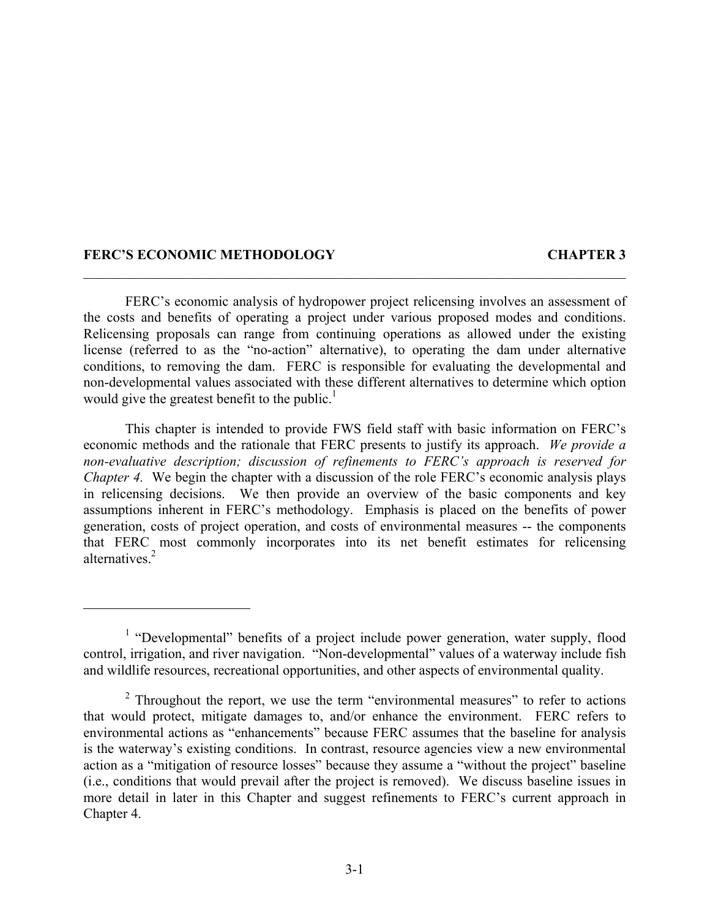#### **FERC'S ECONOMIC METHODOLOGY CHAPTER 3**

FERC's economic analysis of hydropower project relicensing involves an assessment of the costs and benefits of operating a project under various proposed modes and conditions. Relicensing proposals can range from continuing operations as allowed under the existing license (referred to as the "no-action" alternative), to operating the dam under alternative conditions, to removing the dam. FERC is responsible for evaluating the developmental and non-developmental values associated with these different alternatives to determine which option would give the greatest benefit to the public.<sup>1</sup>

 $\mathcal{L}_\mathcal{L} = \mathcal{L}_\mathcal{L} = \mathcal{L}_\mathcal{L} = \mathcal{L}_\mathcal{L} = \mathcal{L}_\mathcal{L} = \mathcal{L}_\mathcal{L} = \mathcal{L}_\mathcal{L} = \mathcal{L}_\mathcal{L} = \mathcal{L}_\mathcal{L} = \mathcal{L}_\mathcal{L} = \mathcal{L}_\mathcal{L} = \mathcal{L}_\mathcal{L} = \mathcal{L}_\mathcal{L} = \mathcal{L}_\mathcal{L} = \mathcal{L}_\mathcal{L} = \mathcal{L}_\mathcal{L} = \mathcal{L}_\mathcal{L}$ 

This chapter is intended to provide FWS field staff with basic information on FERC's economic methods and the rationale that FERC presents to justify its approach. *We provide a non-evaluative description; discussion of refinements to FERC's approach is reserved for Chapter 4.* We begin the chapter with a discussion of the role FERC's economic analysis plays in relicensing decisions. We then provide an overview of the basic components and key assumptions inherent in FERC's methodology. Emphasis is placed on the benefits of power generation, costs of project operation, and costs of environmental measures -- the components that FERC most commonly incorporates into its net benefit estimates for relicensing alternatives<sup>2</sup>

<sup>&</sup>lt;sup>1</sup> "Developmental" benefits of a project include power generation, water supply, flood control, irrigation, and river navigation. "Non-developmental" values of a waterway include fish and wildlife resources, recreational opportunities, and other aspects of environmental quality.

 $2$  Throughout the report, we use the term "environmental measures" to refer to actions that would protect, mitigate damages to, and/or enhance the environment. FERC refers to environmental actions as "enhancements" because FERC assumes that the baseline for analysis is the waterway's existing conditions. In contrast, resource agencies view a new environmental action as a "mitigation of resource losses" because they assume a "without the project" baseline (i.e., conditions that would prevail after the project is removed). We discuss baseline issues in more detail in later in this Chapter and suggest refinements to FERC's current approach in Chapter 4.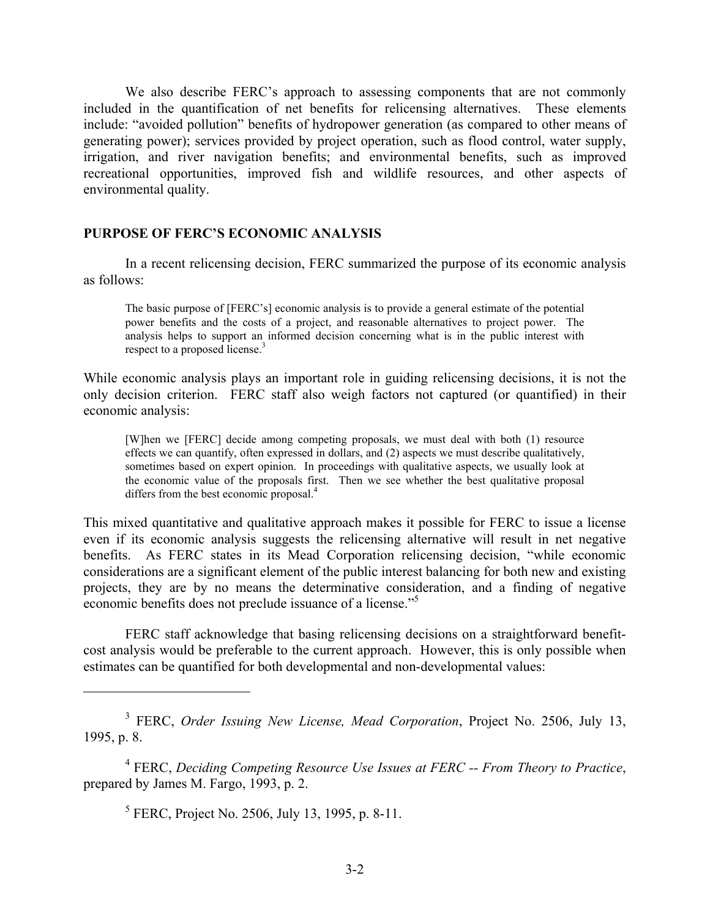We also describe FERC's approach to assessing components that are not commonly included in the quantification of net benefits for relicensing alternatives. These elements include: "avoided pollution" benefits of hydropower generation (as compared to other means of generating power); services provided by project operation, such as flood control, water supply, irrigation, and river navigation benefits; and environmental benefits, such as improved recreational opportunities, improved fish and wildlife resources, and other aspects of environmental quality.

### **PURPOSE OF FERC'S ECONOMIC ANALYSIS**

In a recent relicensing decision, FERC summarized the purpose of its economic analysis as follows:

The basic purpose of [FERC's] economic analysis is to provide a general estimate of the potential power benefits and the costs of a project, and reasonable alternatives to project power. The analysis helps to support an informed decision concerning what is in the public interest with respect to a proposed license.<sup>3</sup>

While economic analysis plays an important role in guiding relicensing decisions, it is not the only decision criterion. FERC staff also weigh factors not captured (or quantified) in their economic analysis:

[W]hen we [FERC] decide among competing proposals, we must deal with both (1) resource effects we can quantify, often expressed in dollars, and (2) aspects we must describe qualitatively, sometimes based on expert opinion. In proceedings with qualitative aspects, we usually look at the economic value of the proposals first. Then we see whether the best qualitative proposal differs from the best economic proposal.<sup>4</sup>

This mixed quantitative and qualitative approach makes it possible for FERC to issue a license even if its economic analysis suggests the relicensing alternative will result in net negative benefits. As FERC states in its Mead Corporation relicensing decision, "while economic considerations are a significant element of the public interest balancing for both new and existing projects, they are by no means the determinative consideration, and a finding of negative economic benefits does not preclude issuance of a license."<sup>5</sup>

FERC staff acknowledge that basing relicensing decisions on a straightforward benefitcost analysis would be preferable to the current approach. However, this is only possible when estimates can be quantified for both developmental and non-developmental values:

3 FERC, *Order Issuing New License, Mead Corporation*, Project No. 2506, July 13, 1995, p. 8.

4 FERC, *Deciding Competing Resource Use Issues at FERC -- From Theory to Practice*, prepared by James M. Fargo, 1993, p. 2.

<sup>5</sup> FERC, Project No. 2506, July 13, 1995, p. 8-11.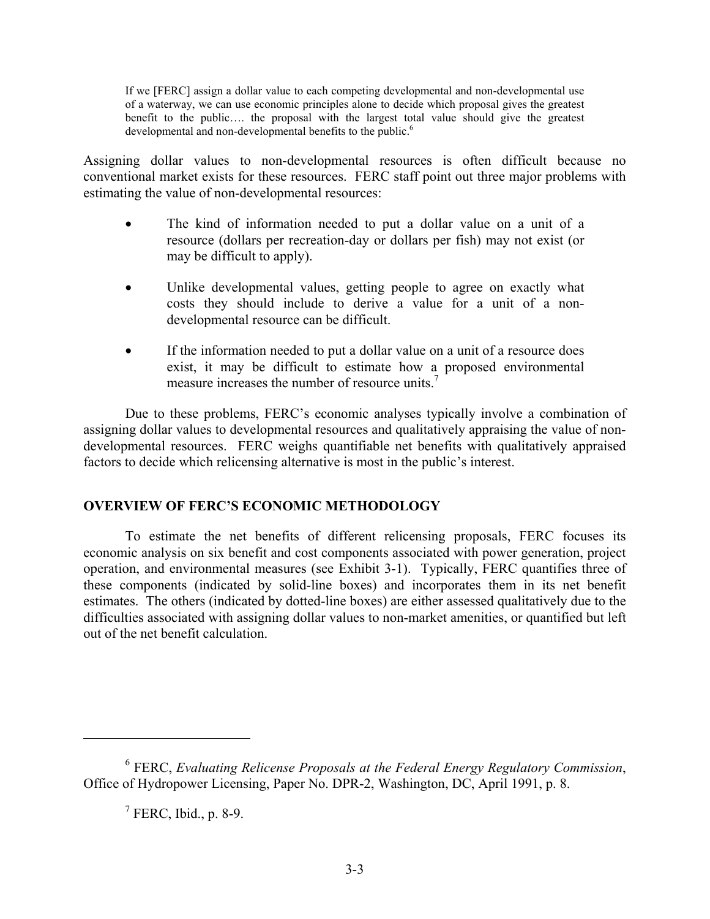If we [FERC] assign a dollar value to each competing developmental and non-developmental use of a waterway, we can use economic principles alone to decide which proposal gives the greatest benefit to the public…. the proposal with the largest total value should give the greatest developmental and non-developmental benefits to the public.<sup>6</sup>

Assigning dollar values to non-developmental resources is often difficult because no conventional market exists for these resources. FERC staff point out three major problems with estimating the value of non-developmental resources:

- The kind of information needed to put a dollar value on a unit of a resource (dollars per recreation-day or dollars per fish) may not exist (or may be difficult to apply).
- Unlike developmental values, getting people to agree on exactly what costs they should include to derive a value for a unit of a nondevelopmental resource can be difficult.
- If the information needed to put a dollar value on a unit of a resource does exist, it may be difficult to estimate how a proposed environmental measure increases the number of resource units.<sup>7</sup>

Due to these problems, FERC's economic analyses typically involve a combination of assigning dollar values to developmental resources and qualitatively appraising the value of nondevelopmental resources. FERC weighs quantifiable net benefits with qualitatively appraised factors to decide which relicensing alternative is most in the public's interest.

# **OVERVIEW OF FERC'S ECONOMIC METHODOLOGY**

To estimate the net benefits of different relicensing proposals, FERC focuses its economic analysis on six benefit and cost components associated with power generation, project operation, and environmental measures (see Exhibit 3-1). Typically, FERC quantifies three of these components (indicated by solid-line boxes) and incorporates them in its net benefit estimates. The others (indicated by dotted-line boxes) are either assessed qualitatively due to the difficulties associated with assigning dollar values to non-market amenities, or quantified but left out of the net benefit calculation.

<sup>6</sup> FERC, *Evaluating Relicense Proposals at the Federal Energy Regulatory Commission*, Office of Hydropower Licensing, Paper No. DPR-2, Washington, DC, April 1991, p. 8.

 $<sup>7</sup>$  FERC, Ibid., p. 8-9.</sup>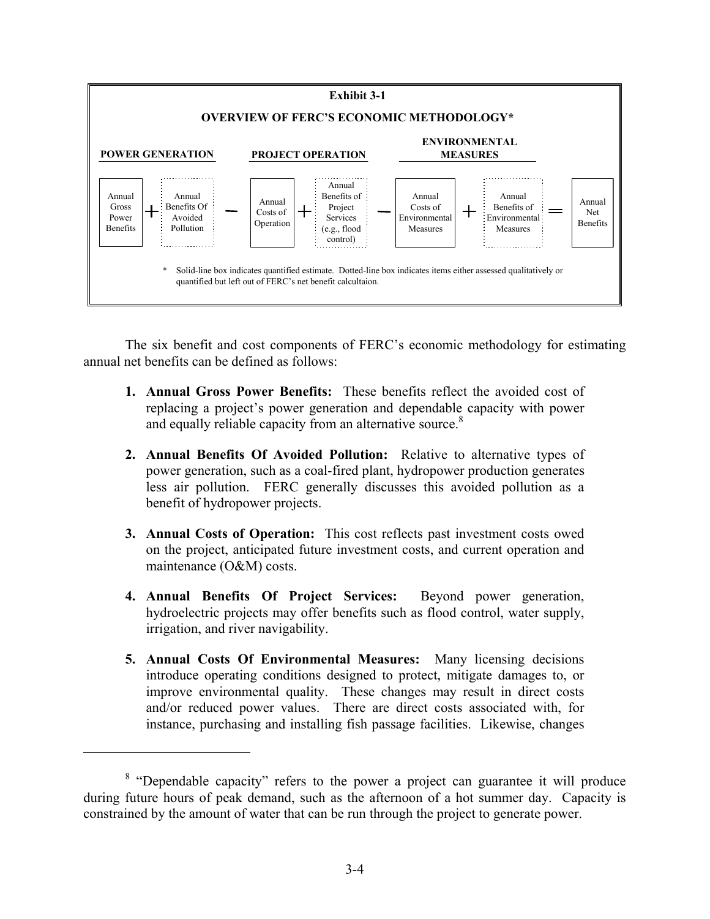

The six benefit and cost components of FERC's economic methodology for estimating annual net benefits can be defined as follows:

- **1. Annual Gross Power Benefits:** These benefits reflect the avoided cost of replacing a project's power generation and dependable capacity with power and equally reliable capacity from an alternative source.<sup>8</sup>
- **2. Annual Benefits Of Avoided Pollution:** Relative to alternative types of power generation, such as a coal-fired plant, hydropower production generates less air pollution. FERC generally discusses this avoided pollution as a benefit of hydropower projects.
- **3. Annual Costs of Operation:** This cost reflects past investment costs owed on the project, anticipated future investment costs, and current operation and maintenance (O&M) costs.
- **4. Annual Benefits Of Project Services:** Beyond power generation, hydroelectric projects may offer benefits such as flood control, water supply, irrigation, and river navigability.
- **5. Annual Costs Of Environmental Measures:** Many licensing decisions introduce operating conditions designed to protect, mitigate damages to, or improve environmental quality. These changes may result in direct costs and/or reduced power values. There are direct costs associated with, for instance, purchasing and installing fish passage facilities. Likewise, changes

<sup>&</sup>lt;sup>8</sup> "Dependable capacity" refers to the power a project can guarantee it will produce during future hours of peak demand, such as the afternoon of a hot summer day. Capacity is constrained by the amount of water that can be run through the project to generate power.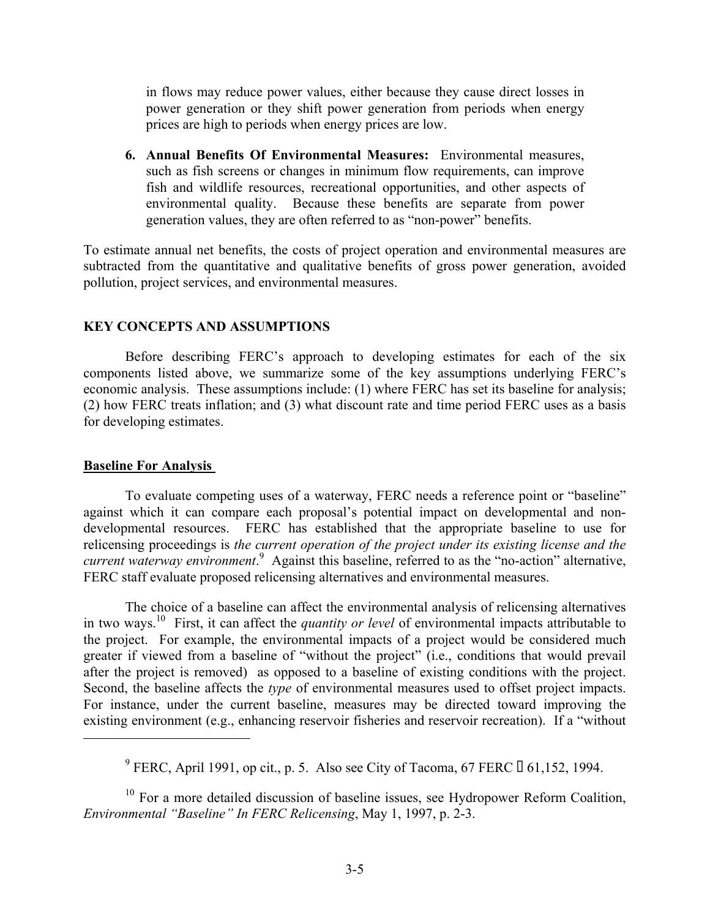in flows may reduce power values, either because they cause direct losses in power generation or they shift power generation from periods when energy prices are high to periods when energy prices are low.

**6. Annual Benefits Of Environmental Measures:** Environmental measures, such as fish screens or changes in minimum flow requirements, can improve fish and wildlife resources, recreational opportunities, and other aspects of environmental quality. Because these benefits are separate from power generation values, they are often referred to as "non-power" benefits.

To estimate annual net benefits, the costs of project operation and environmental measures are subtracted from the quantitative and qualitative benefits of gross power generation, avoided pollution, project services, and environmental measures.

## **KEY CONCEPTS AND ASSUMPTIONS**

Before describing FERC's approach to developing estimates for each of the six components listed above, we summarize some of the key assumptions underlying FERC's economic analysis. These assumptions include: (1) where FERC has set its baseline for analysis; (2) how FERC treats inflation; and (3) what discount rate and time period FERC uses as a basis for developing estimates.

### **Baseline For Analysis**

To evaluate competing uses of a waterway, FERC needs a reference point or "baseline" against which it can compare each proposal's potential impact on developmental and nondevelopmental resources. FERC has established that the appropriate baseline to use for relicensing proceedings is *the current operation of the project under its existing license and the current waterway environment*. 9 Against this baseline, referred to as the "no-action" alternative, FERC staff evaluate proposed relicensing alternatives and environmental measures.

The choice of a baseline can affect the environmental analysis of relicensing alternatives in two ways.10 First, it can affect the *quantity or level* of environmental impacts attributable to the project. For example, the environmental impacts of a project would be considered much greater if viewed from a baseline of "without the project" (i.e., conditions that would prevail after the project is removed) as opposed to a baseline of existing conditions with the project. Second, the baseline affects the *type* of environmental measures used to offset project impacts. For instance, under the current baseline, measures may be directed toward improving the existing environment (e.g., enhancing reservoir fisheries and reservoir recreation). If a "without

<sup>10</sup> For a more detailed discussion of baseline issues, see Hydropower Reform Coalition, *Environmental "Baseline" In FERC Relicensing*, May 1, 1997, p. 2-3.

<sup>&</sup>lt;sup>9</sup> FERC, April 1991, op cit., p. 5. Also see City of Tacoma, 67 FERC  $\Box$  61,152, 1994.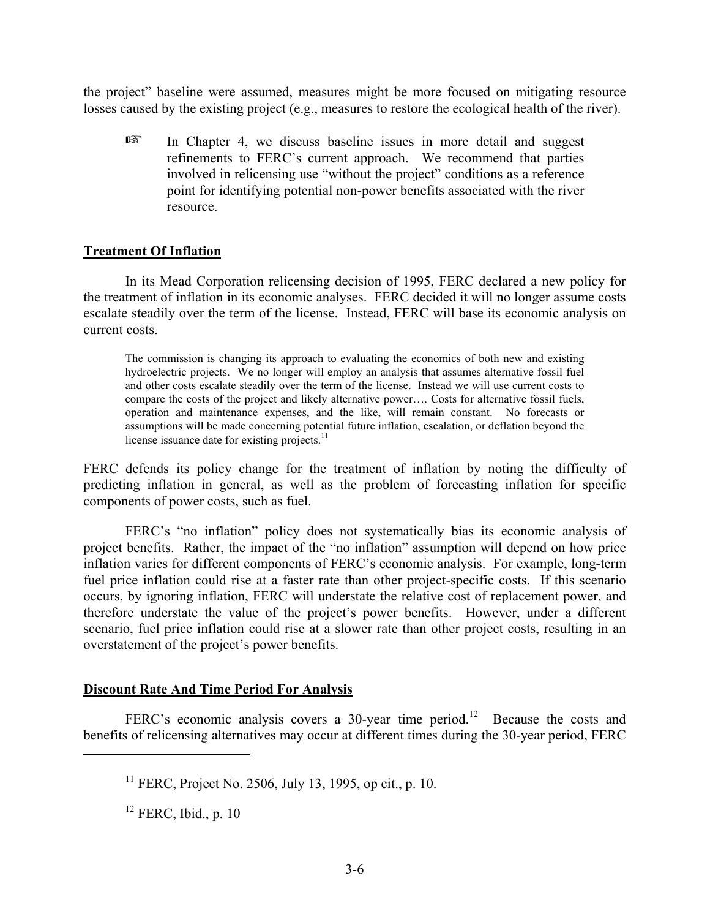the project" baseline were assumed, measures might be more focused on mitigating resource losses caused by the existing project (e.g., measures to restore the ecological health of the river).

 $E^*$  In Chapter 4, we discuss baseline issues in more detail and suggest refinements to FERC's current approach. We recommend that parties involved in relicensing use "without the project" conditions as a reference point for identifying potential non-power benefits associated with the river resource.

## **Treatment Of Inflation**

In its Mead Corporation relicensing decision of 1995, FERC declared a new policy for the treatment of inflation in its economic analyses. FERC decided it will no longer assume costs escalate steadily over the term of the license. Instead, FERC will base its economic analysis on current costs.

The commission is changing its approach to evaluating the economics of both new and existing hydroelectric projects. We no longer will employ an analysis that assumes alternative fossil fuel and other costs escalate steadily over the term of the license. Instead we will use current costs to compare the costs of the project and likely alternative power…. Costs for alternative fossil fuels, operation and maintenance expenses, and the like, will remain constant. No forecasts or assumptions will be made concerning potential future inflation, escalation, or deflation beyond the license issuance date for existing projects. $11$ 

FERC defends its policy change for the treatment of inflation by noting the difficulty of predicting inflation in general, as well as the problem of forecasting inflation for specific components of power costs, such as fuel.

FERC's "no inflation" policy does not systematically bias its economic analysis of project benefits. Rather, the impact of the "no inflation" assumption will depend on how price inflation varies for different components of FERC's economic analysis. For example, long-term fuel price inflation could rise at a faster rate than other project-specific costs. If this scenario occurs, by ignoring inflation, FERC will understate the relative cost of replacement power, and therefore understate the value of the project's power benefits. However, under a different scenario, fuel price inflation could rise at a slower rate than other project costs, resulting in an overstatement of the project's power benefits.

### **Discount Rate And Time Period For Analysis**

FERC's economic analysis covers a 30-year time period.<sup>12</sup> Because the costs and benefits of relicensing alternatives may occur at different times during the 30-year period, FERC

 $12$  FERC, Ibid., p. 10

 $11$  FERC, Project No. 2506, July 13, 1995, op cit., p. 10.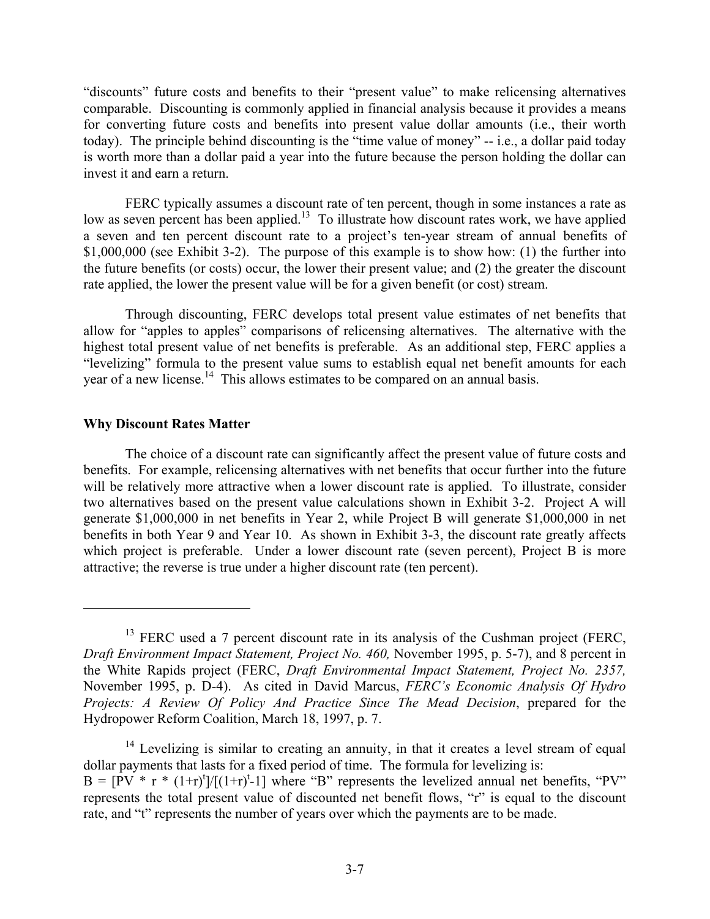"discounts" future costs and benefits to their "present value" to make relicensing alternatives comparable. Discounting is commonly applied in financial analysis because it provides a means for converting future costs and benefits into present value dollar amounts (i.e., their worth today). The principle behind discounting is the "time value of money" -- i.e., a dollar paid today is worth more than a dollar paid a year into the future because the person holding the dollar can invest it and earn a return.

FERC typically assumes a discount rate of ten percent, though in some instances a rate as low as seven percent has been applied.<sup>13</sup> To illustrate how discount rates work, we have applied a seven and ten percent discount rate to a project's ten-year stream of annual benefits of \$1,000,000 (see Exhibit 3-2). The purpose of this example is to show how: (1) the further into the future benefits (or costs) occur, the lower their present value; and (2) the greater the discount rate applied, the lower the present value will be for a given benefit (or cost) stream.

Through discounting, FERC develops total present value estimates of net benefits that allow for "apples to apples" comparisons of relicensing alternatives. The alternative with the highest total present value of net benefits is preferable. As an additional step, FERC applies a "levelizing" formula to the present value sums to establish equal net benefit amounts for each year of a new license.<sup>14</sup> This allows estimates to be compared on an annual basis.

### **Why Discount Rates Matter**

The choice of a discount rate can significantly affect the present value of future costs and benefits. For example, relicensing alternatives with net benefits that occur further into the future will be relatively more attractive when a lower discount rate is applied. To illustrate, consider two alternatives based on the present value calculations shown in Exhibit 3-2. Project A will generate \$1,000,000 in net benefits in Year 2, while Project B will generate \$1,000,000 in net benefits in both Year 9 and Year 10. As shown in Exhibit 3-3, the discount rate greatly affects which project is preferable. Under a lower discount rate (seven percent), Project B is more attractive; the reverse is true under a higher discount rate (ten percent).

 $13$  FERC used a 7 percent discount rate in its analysis of the Cushman project (FERC, *Draft Environment Impact Statement, Project No. 460,* November 1995, p. 5-7), and 8 percent in the White Rapids project (FERC, *Draft Environmental Impact Statement, Project No. 2357,*  November 1995, p. D-4). As cited in David Marcus, *FERC's Economic Analysis Of Hydro Projects: A Review Of Policy And Practice Since The Mead Decision*, prepared for the Hydropower Reform Coalition, March 18, 1997, p. 7.

<sup>&</sup>lt;sup>14</sup> Levelizing is similar to creating an annuity, in that it creates a level stream of equal dollar payments that lasts for a fixed period of time. The formula for levelizing is:  $B = [PV * r * (1+r)^t]/[(1+r)^t-1]$  where "B" represents the levelized annual net benefits, "PV" represents the total present value of discounted net benefit flows, "r" is equal to the discount rate, and "t" represents the number of years over which the payments are to be made.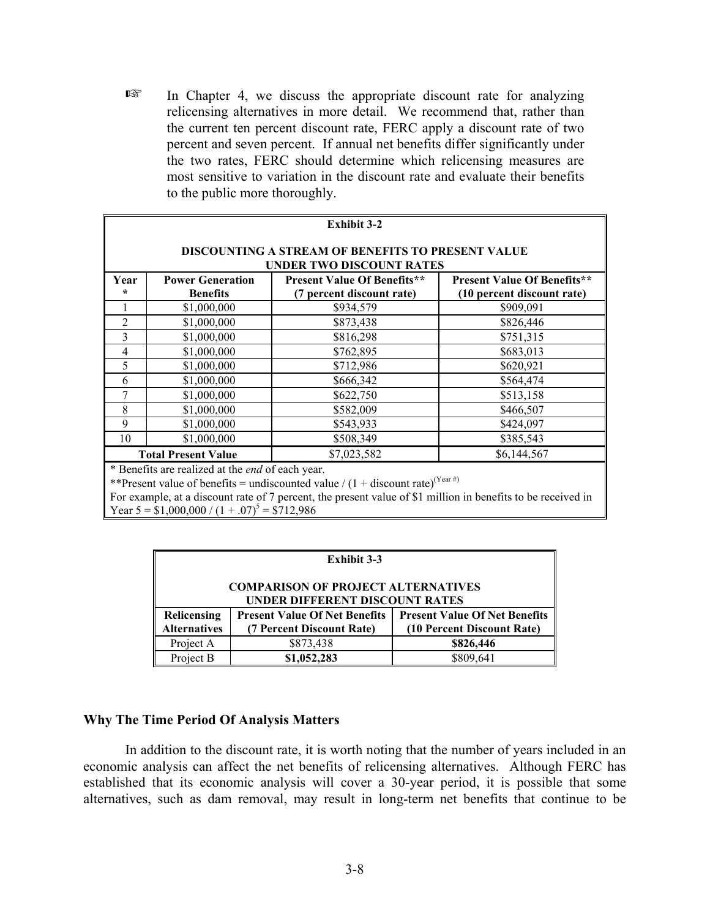$E \equiv$  In Chapter 4, we discuss the appropriate discount rate for analyzing relicensing alternatives in more detail. We recommend that, rather than the current ten percent discount rate, FERC apply a discount rate of two percent and seven percent. If annual net benefits differ significantly under the two rates, FERC should determine which relicensing measures are most sensitive to variation in the discount rate and evaluate their benefits to the public more thoroughly.

|                                                                                                                                                                                                | <b>Exhibit 3-2</b>                                                                          |           |           |  |  |  |
|------------------------------------------------------------------------------------------------------------------------------------------------------------------------------------------------|---------------------------------------------------------------------------------------------|-----------|-----------|--|--|--|
|                                                                                                                                                                                                | <b>DISCOUNTING A STREAM OF BENEFITS TO PRESENT VALUE</b><br><b>UNDER TWO DISCOUNT RATES</b> |           |           |  |  |  |
| <b>Power Generation</b><br><b>Present Value Of Benefits**</b><br><b>Present Value Of Benefits**</b><br>Year<br><b>Benefits</b><br>(7 percent discount rate)<br>(10 percent discount rate)<br>÷ |                                                                                             |           |           |  |  |  |
|                                                                                                                                                                                                | \$1,000,000                                                                                 | \$934,579 | \$909,091 |  |  |  |
| 2                                                                                                                                                                                              | \$1,000,000                                                                                 | \$873,438 | \$826,446 |  |  |  |
| 3                                                                                                                                                                                              | \$1,000,000                                                                                 | \$816,298 | \$751,315 |  |  |  |
| 4                                                                                                                                                                                              | \$1,000,000                                                                                 | \$762,895 | \$683,013 |  |  |  |
| 5                                                                                                                                                                                              | \$1,000,000                                                                                 | \$712,986 | \$620,921 |  |  |  |
| 6                                                                                                                                                                                              | \$1,000,000                                                                                 | \$666,342 | \$564,474 |  |  |  |
|                                                                                                                                                                                                | \$1,000,000                                                                                 | \$622,750 | \$513,158 |  |  |  |
| 8                                                                                                                                                                                              | \$1,000,000                                                                                 | \$582,009 | \$466,507 |  |  |  |
| 9                                                                                                                                                                                              | \$1,000,000                                                                                 | \$543,933 | \$424,097 |  |  |  |
| 10                                                                                                                                                                                             | \$1,000,000                                                                                 | \$508,349 | \$385,543 |  |  |  |
|                                                                                                                                                                                                | \$7,023,582<br><b>Total Present Value</b><br>\$6,144,567                                    |           |           |  |  |  |
| * Repetite are realized at the <i>and</i> of each year                                                                                                                                         |                                                                                             |           |           |  |  |  |

ed at the *end* of each year.

\*\*Present value of benefits = undiscounted value /  $(1 +$  discount rate)<sup>(Year#)</sup>

For example, at a discount rate of 7 percent, the present value of \$1 million in benefits to be received in Year  $5 = $1,000,000 / (1 + .07)^{5} = $712,986$ 

| <b>Exhibit 3-3</b>                                                          |                                                                   |                                                                    |  |
|-----------------------------------------------------------------------------|-------------------------------------------------------------------|--------------------------------------------------------------------|--|
| <b>COMPARISON OF PROJECT ALTERNATIVES</b><br>UNDER DIFFERENT DISCOUNT RATES |                                                                   |                                                                    |  |
| Relicensing<br><b>Alternatives</b>                                          | <b>Present Value Of Net Benefits</b><br>(7 Percent Discount Rate) | <b>Present Value Of Net Benefits</b><br>(10 Percent Discount Rate) |  |
| Project A                                                                   | \$873,438                                                         | \$826,446                                                          |  |
| Project B                                                                   | \$1,052,283                                                       | \$809,641                                                          |  |

### **Why The Time Period Of Analysis Matters**

In addition to the discount rate, it is worth noting that the number of years included in an economic analysis can affect the net benefits of relicensing alternatives. Although FERC has established that its economic analysis will cover a 30-year period, it is possible that some alternatives, such as dam removal, may result in long-term net benefits that continue to be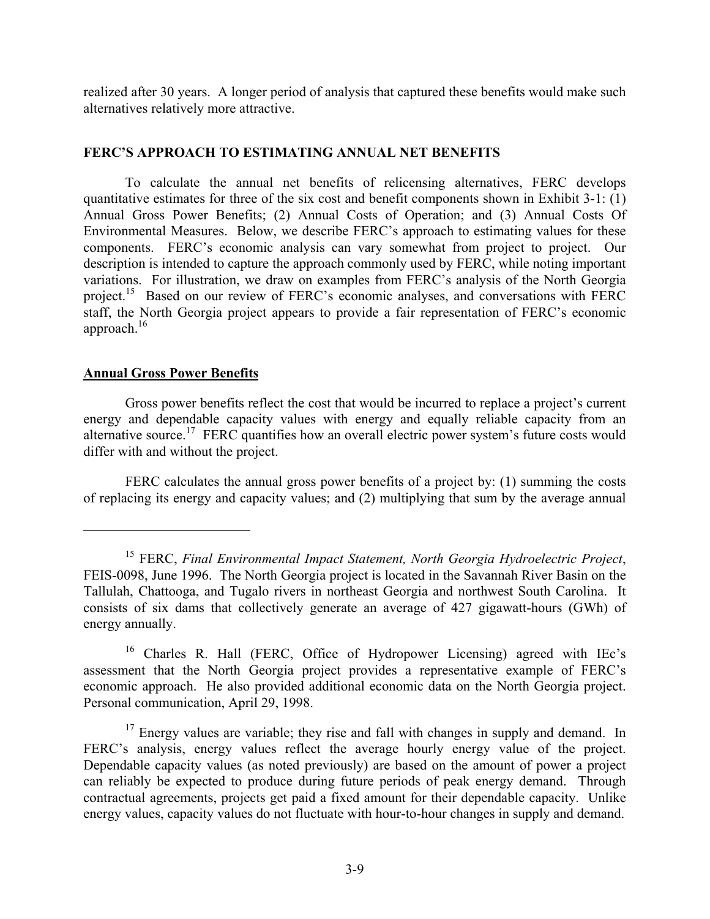realized after 30 years. A longer period of analysis that captured these benefits would make such alternatives relatively more attractive.

## **FERC'S APPROACH TO ESTIMATING ANNUAL NET BENEFITS**

To calculate the annual net benefits of relicensing alternatives, FERC develops quantitative estimates for three of the six cost and benefit components shown in Exhibit 3-1: (1) Annual Gross Power Benefits; (2) Annual Costs of Operation; and (3) Annual Costs Of Environmental Measures. Below, we describe FERC's approach to estimating values for these components. FERC's economic analysis can vary somewhat from project to project. Our description is intended to capture the approach commonly used by FERC, while noting important variations. For illustration, we draw on examples from FERC's analysis of the North Georgia project.<sup>15</sup> Based on our review of FERC's economic analyses, and conversations with FERC staff, the North Georgia project appears to provide a fair representation of FERC's economic approach.16

### **Annual Gross Power Benefits**

Gross power benefits reflect the cost that would be incurred to replace a project's current energy and dependable capacity values with energy and equally reliable capacity from an alternative source.<sup>17</sup> FERC quantifies how an overall electric power system's future costs would differ with and without the project.

FERC calculates the annual gross power benefits of a project by: (1) summing the costs of replacing its energy and capacity values; and (2) multiplying that sum by the average annual

<sup>15</sup> FERC, *Final Environmental Impact Statement, North Georgia Hydroelectric Project*, FEIS-0098, June 1996. The North Georgia project is located in the Savannah River Basin on the Tallulah, Chattooga, and Tugalo rivers in northeast Georgia and northwest South Carolina. It consists of six dams that collectively generate an average of 427 gigawatt-hours (GWh) of energy annually.

<sup>&</sup>lt;sup>16</sup> Charles R. Hall (FERC, Office of Hydropower Licensing) agreed with IEc's assessment that the North Georgia project provides a representative example of FERC's economic approach. He also provided additional economic data on the North Georgia project. Personal communication, April 29, 1998.

 $17$  Energy values are variable; they rise and fall with changes in supply and demand. In FERC's analysis, energy values reflect the average hourly energy value of the project. Dependable capacity values (as noted previously) are based on the amount of power a project can reliably be expected to produce during future periods of peak energy demand. Through contractual agreements, projects get paid a fixed amount for their dependable capacity. Unlike energy values, capacity values do not fluctuate with hour-to-hour changes in supply and demand.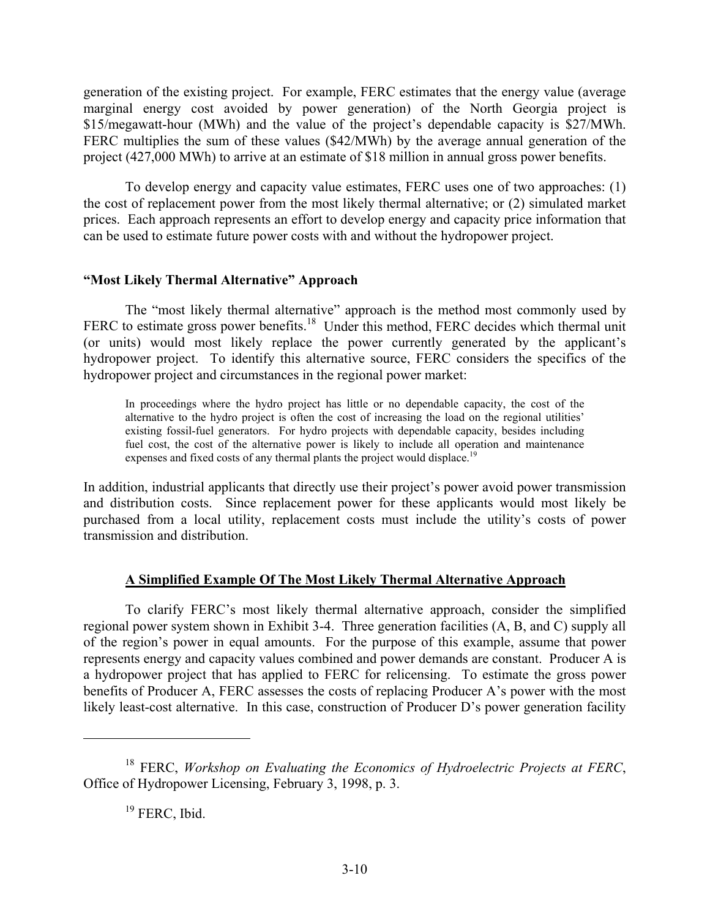generation of the existing project. For example, FERC estimates that the energy value (average marginal energy cost avoided by power generation) of the North Georgia project is \$15/megawatt-hour (MWh) and the value of the project's dependable capacity is \$27/MWh. FERC multiplies the sum of these values (\$42/MWh) by the average annual generation of the project (427,000 MWh) to arrive at an estimate of \$18 million in annual gross power benefits.

To develop energy and capacity value estimates, FERC uses one of two approaches: (1) the cost of replacement power from the most likely thermal alternative; or (2) simulated market prices. Each approach represents an effort to develop energy and capacity price information that can be used to estimate future power costs with and without the hydropower project.

### **"Most Likely Thermal Alternative" Approach**

The "most likely thermal alternative" approach is the method most commonly used by FERC to estimate gross power benefits.<sup>18</sup> Under this method, FERC decides which thermal unit (or units) would most likely replace the power currently generated by the applicant's hydropower project. To identify this alternative source, FERC considers the specifics of the hydropower project and circumstances in the regional power market:

In proceedings where the hydro project has little or no dependable capacity, the cost of the alternative to the hydro project is often the cost of increasing the load on the regional utilities' existing fossil-fuel generators. For hydro projects with dependable capacity, besides including fuel cost, the cost of the alternative power is likely to include all operation and maintenance expenses and fixed costs of any thermal plants the project would displace.<sup>19</sup>

In addition, industrial applicants that directly use their project's power avoid power transmission and distribution costs. Since replacement power for these applicants would most likely be purchased from a local utility, replacement costs must include the utility's costs of power transmission and distribution.

### **A Simplified Example Of The Most Likely Thermal Alternative Approach**

To clarify FERC's most likely thermal alternative approach, consider the simplified regional power system shown in Exhibit 3-4. Three generation facilities (A, B, and C) supply all of the region's power in equal amounts. For the purpose of this example, assume that power represents energy and capacity values combined and power demands are constant. Producer A is a hydropower project that has applied to FERC for relicensing. To estimate the gross power benefits of Producer A, FERC assesses the costs of replacing Producer A's power with the most likely least-cost alternative. In this case, construction of Producer D's power generation facility

<sup>18</sup> FERC, *Workshop on Evaluating the Economics of Hydroelectric Projects at FERC*, Office of Hydropower Licensing, February 3, 1998, p. 3.

<sup>&</sup>lt;sup>19</sup> FERC, Ibid.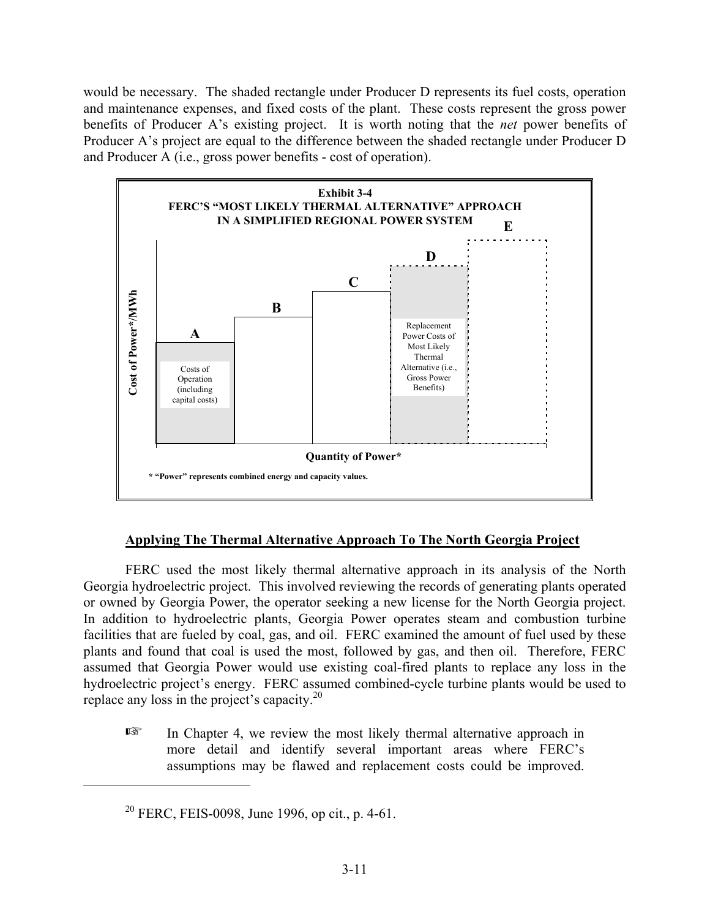would be necessary. The shaded rectangle under Producer D represents its fuel costs, operation and maintenance expenses, and fixed costs of the plant. These costs represent the gross power benefits of Producer A's existing project. It is worth noting that the *net* power benefits of Producer A's project are equal to the difference between the shaded rectangle under Producer D and Producer A (i.e., gross power benefits - cost of operation).



# **Applying The Thermal Alternative Approach To The North Georgia Project**

FERC used the most likely thermal alternative approach in its analysis of the North Georgia hydroelectric project. This involved reviewing the records of generating plants operated or owned by Georgia Power, the operator seeking a new license for the North Georgia project. In addition to hydroelectric plants, Georgia Power operates steam and combustion turbine facilities that are fueled by coal, gas, and oil. FERC examined the amount of fuel used by these plants and found that coal is used the most, followed by gas, and then oil. Therefore, FERC assumed that Georgia Power would use existing coal-fired plants to replace any loss in the hydroelectric project's energy. FERC assumed combined-cycle turbine plants would be used to replace any loss in the project's capacity. $2^{0}$ 

 $E \equiv$  In Chapter 4, we review the most likely thermal alternative approach in more detail and identify several important areas where FERC's assumptions may be flawed and replacement costs could be improved.

 $20$  FERC, FEIS-0098, June 1996, op cit., p. 4-61.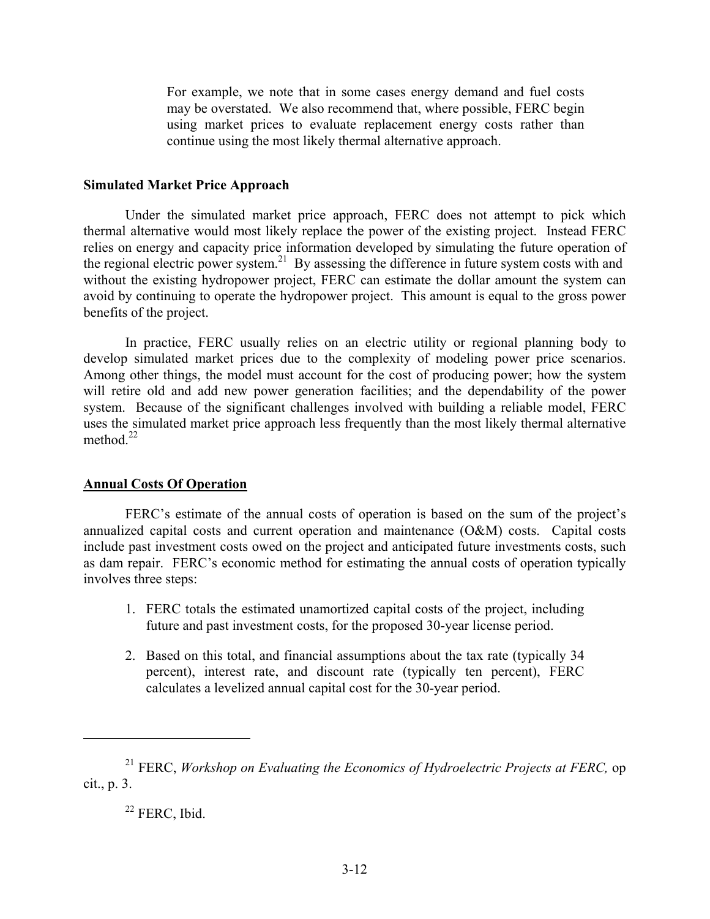For example, we note that in some cases energy demand and fuel costs may be overstated. We also recommend that, where possible, FERC begin using market prices to evaluate replacement energy costs rather than continue using the most likely thermal alternative approach.

#### **Simulated Market Price Approach**

Under the simulated market price approach, FERC does not attempt to pick which thermal alternative would most likely replace the power of the existing project. Instead FERC relies on energy and capacity price information developed by simulating the future operation of the regional electric power system. 21 By assessing the difference in future system costs with and without the existing hydropower project, FERC can estimate the dollar amount the system can avoid by continuing to operate the hydropower project. This amount is equal to the gross power benefits of the project.

In practice, FERC usually relies on an electric utility or regional planning body to develop simulated market prices due to the complexity of modeling power price scenarios. Among other things, the model must account for the cost of producing power; how the system will retire old and add new power generation facilities; and the dependability of the power system. Because of the significant challenges involved with building a reliable model, FERC uses the simulated market price approach less frequently than the most likely thermal alternative method. $^{22}$ 

### **Annual Costs Of Operation**

FERC's estimate of the annual costs of operation is based on the sum of the project's annualized capital costs and current operation and maintenance (O&M) costs. Capital costs include past investment costs owed on the project and anticipated future investments costs, such as dam repair. FERC's economic method for estimating the annual costs of operation typically involves three steps:

- 1. FERC totals the estimated unamortized capital costs of the project, including future and past investment costs, for the proposed 30-year license period.
- 2. Based on this total, and financial assumptions about the tax rate (typically 34 percent), interest rate, and discount rate (typically ten percent), FERC calculates a levelized annual capital cost for the 30-year period.

<sup>21</sup> FERC, *Workshop on Evaluating the Economics of Hydroelectric Projects at FERC,* op cit., p. 3.

<sup>&</sup>lt;sup>22</sup> FERC, Ibid.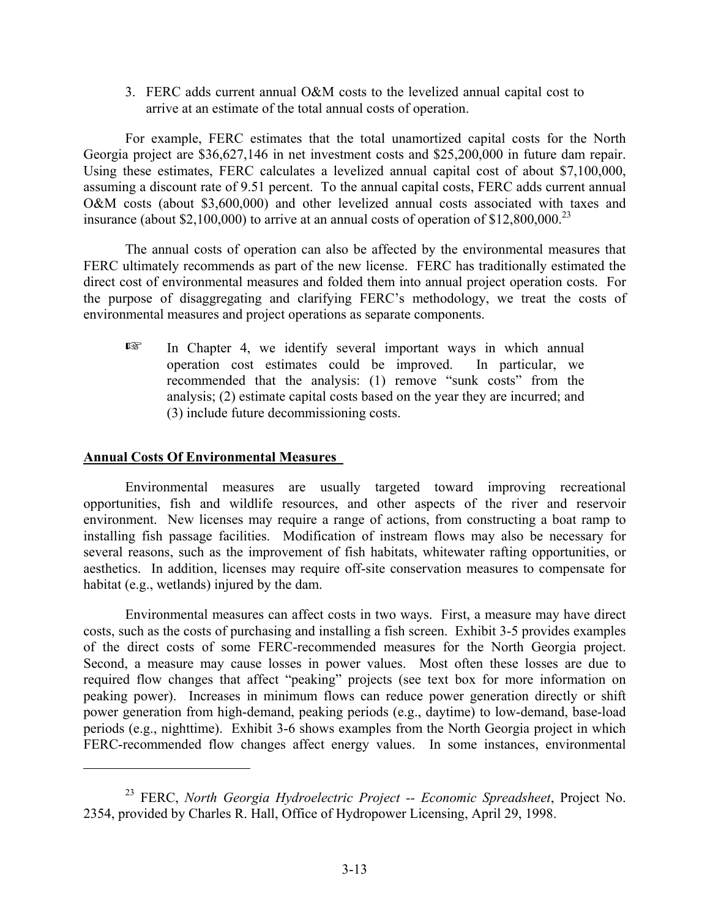3. FERC adds current annual O&M costs to the levelized annual capital cost to arrive at an estimate of the total annual costs of operation.

For example, FERC estimates that the total unamortized capital costs for the North Georgia project are \$36,627,146 in net investment costs and \$25,200,000 in future dam repair. Using these estimates, FERC calculates a levelized annual capital cost of about \$7,100,000, assuming a discount rate of 9.51 percent. To the annual capital costs, FERC adds current annual O&M costs (about \$3,600,000) and other levelized annual costs associated with taxes and insurance (about \$2,100,000) to arrive at an annual costs of operation of  $$12,800,000.<sup>23</sup>$ 

The annual costs of operation can also be affected by the environmental measures that FERC ultimately recommends as part of the new license. FERC has traditionally estimated the direct cost of environmental measures and folded them into annual project operation costs. For the purpose of disaggregating and clarifying FERC's methodology, we treat the costs of environmental measures and project operations as separate components.

In Chapter 4, we identify several important ways in which annual operation cost estimates could be improved. In particular, we operation cost estimates could be improved. recommended that the analysis: (1) remove "sunk costs" from the analysis; (2) estimate capital costs based on the year they are incurred; and (3) include future decommissioning costs.

# **Annual Costs Of Environmental Measures**

Environmental measures are usually targeted toward improving recreational opportunities, fish and wildlife resources, and other aspects of the river and reservoir environment. New licenses may require a range of actions, from constructing a boat ramp to installing fish passage facilities. Modification of instream flows may also be necessary for several reasons, such as the improvement of fish habitats, whitewater rafting opportunities, or aesthetics. In addition, licenses may require off-site conservation measures to compensate for habitat (e.g., wetlands) injured by the dam.

Environmental measures can affect costs in two ways. First, a measure may have direct costs, such as the costs of purchasing and installing a fish screen. Exhibit 3-5 provides examples of the direct costs of some FERC-recommended measures for the North Georgia project. Second, a measure may cause losses in power values. Most often these losses are due to required flow changes that affect "peaking" projects (see text box for more information on peaking power). Increases in minimum flows can reduce power generation directly or shift power generation from high-demand, peaking periods (e.g., daytime) to low-demand, base-load periods (e.g., nighttime). Exhibit 3-6 shows examples from the North Georgia project in which FERC-recommended flow changes affect energy values. In some instances, environmental

<sup>23</sup> FERC, *North Georgia Hydroelectric Project -- Economic Spreadsheet*, Project No. 2354, provided by Charles R. Hall, Office of Hydropower Licensing, April 29, 1998.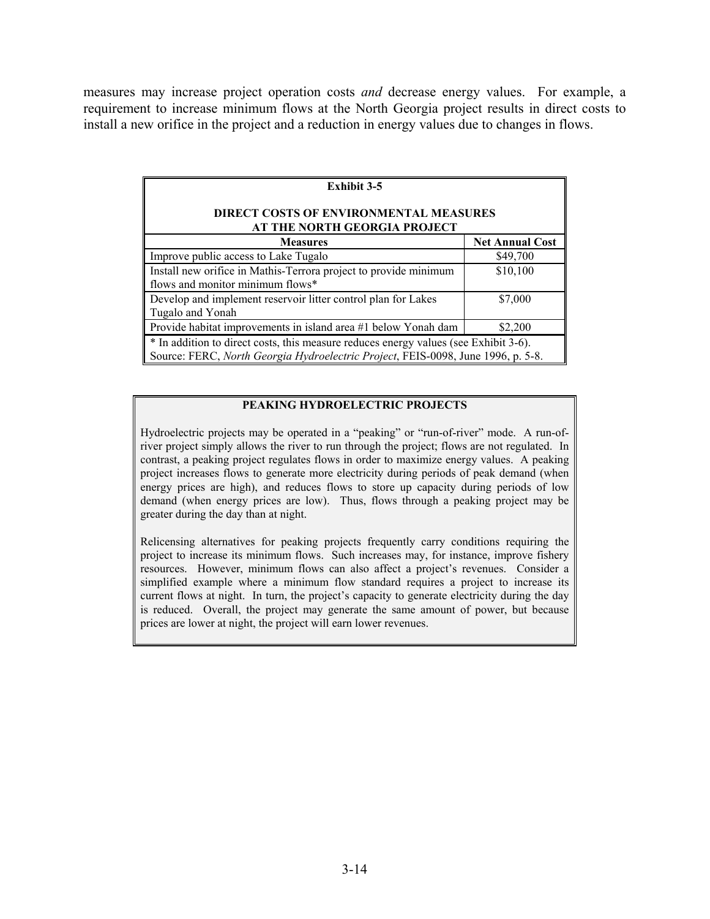measures may increase project operation costs *and* decrease energy values. For example, a requirement to increase minimum flows at the North Georgia project results in direct costs to install a new orifice in the project and a reduction in energy values due to changes in flows.

| <b>Exhibit 3-5</b>                                                                                                                                                       |                        |  |  |
|--------------------------------------------------------------------------------------------------------------------------------------------------------------------------|------------------------|--|--|
| <b>DIRECT COSTS OF ENVIRONMENTAL MEASURES</b><br>AT THE NORTH GEORGIA PROJECT                                                                                            |                        |  |  |
| <b>Measures</b>                                                                                                                                                          | <b>Net Annual Cost</b> |  |  |
| Improve public access to Lake Tugalo                                                                                                                                     | \$49,700               |  |  |
| Install new orifice in Mathis-Terrora project to provide minimum                                                                                                         | \$10,100               |  |  |
| flows and monitor minimum flows*                                                                                                                                         |                        |  |  |
| Develop and implement reservoir litter control plan for Lakes                                                                                                            | \$7,000                |  |  |
| Tugalo and Yonah                                                                                                                                                         |                        |  |  |
| Provide habitat improvements in island area #1 below Yonah dam                                                                                                           | \$2,200                |  |  |
| * In addition to direct costs, this measure reduces energy values (see Exhibit 3-6).<br>Source: FERC, North Georgia Hydroelectric Project, FEIS-0098, June 1996, p. 5-8. |                        |  |  |

#### **PEAKING HYDROELECTRIC PROJECTS**

Hydroelectric projects may be operated in a "peaking" or "run-of-river" mode. A run-ofriver project simply allows the river to run through the project; flows are not regulated. In contrast, a peaking project regulates flows in order to maximize energy values. A peaking project increases flows to generate more electricity during periods of peak demand (when energy prices are high), and reduces flows to store up capacity during periods of low demand (when energy prices are low). Thus, flows through a peaking project may be greater during the day than at night.

Relicensing alternatives for peaking projects frequently carry conditions requiring the project to increase its minimum flows. Such increases may, for instance, improve fishery resources. However, minimum flows can also affect a project's revenues. Consider a simplified example where a minimum flow standard requires a project to increase its current flows at night. In turn, the project's capacity to generate electricity during the day is reduced. Overall, the project may generate the same amount of power, but because prices are lower at night, the project will earn lower revenues.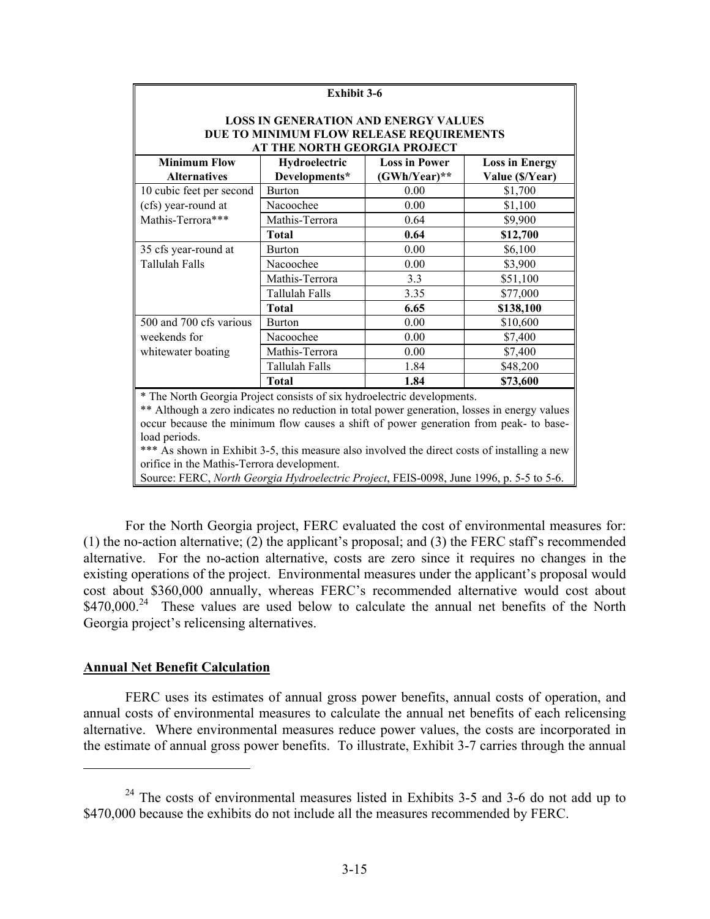| <b>Exhibit 3-6</b>                                                                    |                                             |                |                 |  |  |
|---------------------------------------------------------------------------------------|---------------------------------------------|----------------|-----------------|--|--|
|                                                                                       | <b>LOSS IN GENERATION AND ENERGY VALUES</b> |                |                 |  |  |
|                                                                                       | DUE TO MINIMUM FLOW RELEASE REQUIREMENTS    |                |                 |  |  |
|                                                                                       | AT THE NORTH GEORGIA PROJECT                |                |                 |  |  |
| <b>Minimum Flow</b><br>Hydroelectric<br><b>Loss in Power</b><br><b>Loss in Energy</b> |                                             |                |                 |  |  |
| <b>Alternatives</b>                                                                   | Developments*                               | $(GWh/Year)**$ | Value (\$/Year) |  |  |
| 10 cubic feet per second                                                              | <b>Burton</b>                               | 0.00           | \$1,700         |  |  |
| (cfs) year-round at                                                                   | Nacoochee                                   | 0.00           | \$1,100         |  |  |
| Mathis-Terrora***                                                                     | Mathis-Terrora                              | 0.64           | \$9,900         |  |  |
|                                                                                       | <b>Total</b>                                | 0.64           | \$12,700        |  |  |
| 35 cfs year-round at                                                                  | <b>Burton</b>                               | 0.00           | \$6,100         |  |  |
| Tallulah Falls                                                                        | Nacoochee                                   | 0.00           | \$3,900         |  |  |
|                                                                                       | Mathis-Terrora                              | 3.3            | \$51,100        |  |  |
|                                                                                       | Tallulah Falls                              | 3.35           | \$77,000        |  |  |
|                                                                                       | <b>Total</b>                                | 6.65           | \$138,100       |  |  |
| 500 and 700 cfs various                                                               | <b>Burton</b>                               | 0.00           | \$10,600        |  |  |
| weekends for                                                                          | Nacoochee                                   | 0.00           | \$7,400         |  |  |
| whitewater boating                                                                    | Mathis-Terrora                              | 0.00           | \$7,400         |  |  |
|                                                                                       | <b>Tallulah Falls</b>                       | 1.84           | \$48,200        |  |  |
|                                                                                       | <b>Total</b>                                | 1.84           | \$73,600        |  |  |
| * The Next Coerais Draiget consists of six by dreal estimate developments             |                                             |                |                 |  |  |

The North Georgia Project consists of six hydroelectric developments.

\*\* Although a zero indicates no reduction in total power generation, losses in energy values occur because the minimum flow causes a shift of power generation from peak- to baseload periods.

\*\*\* As shown in Exhibit 3-5, this measure also involved the direct costs of installing a new orifice in the Mathis-Terrora development.

Source: FERC, *North Georgia Hydroelectric Project*, FEIS-0098, June 1996, p. 5-5 to 5-6.

For the North Georgia project, FERC evaluated the cost of environmental measures for: (1) the no-action alternative; (2) the applicant's proposal; and (3) the FERC staff's recommended alternative. For the no-action alternative, costs are zero since it requires no changes in the existing operations of the project. Environmental measures under the applicant's proposal would cost about \$360,000 annually, whereas FERC's recommended alternative would cost about  $$470,000<sup>24</sup>$  These values are used below to calculate the annual net benefits of the North Georgia project's relicensing alternatives.

### **Annual Net Benefit Calculation**

FERC uses its estimates of annual gross power benefits, annual costs of operation, and annual costs of environmental measures to calculate the annual net benefits of each relicensing alternative. Where environmental measures reduce power values, the costs are incorporated in the estimate of annual gross power benefits. To illustrate, Exhibit 3-7 carries through the annual

 $24$  The costs of environmental measures listed in Exhibits 3-5 and 3-6 do not add up to \$470,000 because the exhibits do not include all the measures recommended by FERC.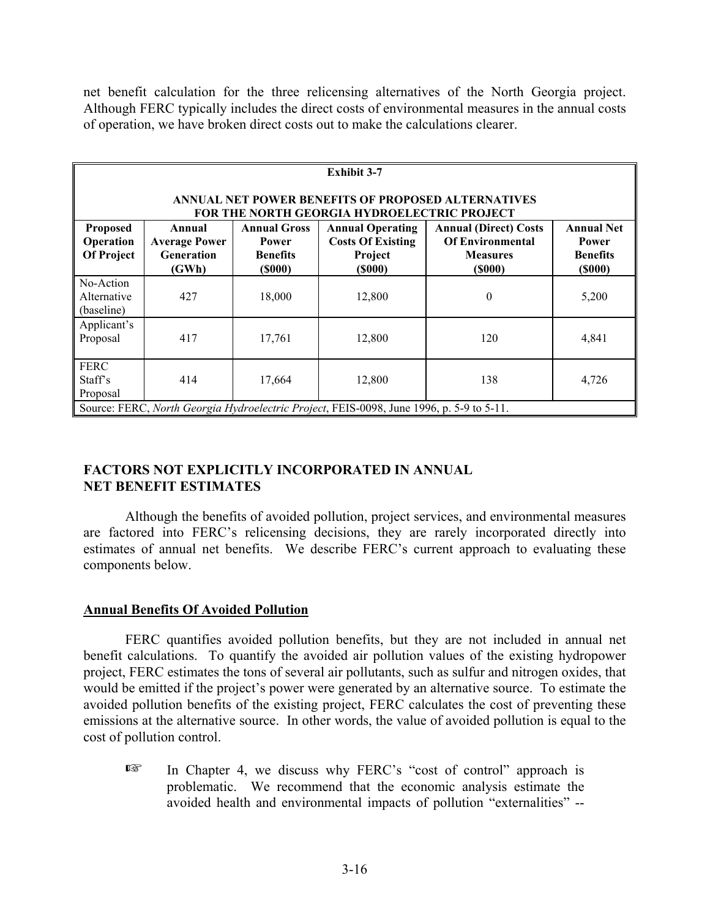net benefit calculation for the three relicensing alternatives of the North Georgia project. Although FERC typically includes the direct costs of environmental measures in the annual costs of operation, we have broken direct costs out to make the calculations clearer.

| <b>Exhibit 3-7</b>                                                                       |                                                                                                          |                                                                         |                                                                                 |                                                                                             |                                                                       |
|------------------------------------------------------------------------------------------|----------------------------------------------------------------------------------------------------------|-------------------------------------------------------------------------|---------------------------------------------------------------------------------|---------------------------------------------------------------------------------------------|-----------------------------------------------------------------------|
|                                                                                          | ANNUAL NET POWER BENEFITS OF PROPOSED ALTERNATIVES<br><b>FOR THE NORTH GEORGIA HYDROELECTRIC PROJECT</b> |                                                                         |                                                                                 |                                                                                             |                                                                       |
| <b>Proposed</b><br>Operation<br><b>Of Project</b>                                        | Annual<br><b>Average Power</b><br><b>Generation</b><br>(GWh)                                             | <b>Annual Gross</b><br><b>Power</b><br><b>Benefits</b><br>$($ \$000 $)$ | <b>Annual Operating</b><br><b>Costs Of Existing</b><br>Project<br>$($ \$000 $)$ | <b>Annual (Direct) Costs</b><br><b>Of Environmental</b><br><b>Measures</b><br>$($ \$000 $)$ | <b>Annual Net</b><br><b>Power</b><br><b>Benefits</b><br>$($ \$000 $)$ |
| No-Action<br>Alternative<br>(baseline)                                                   | 427                                                                                                      | 18,000                                                                  | 12,800                                                                          | $\boldsymbol{0}$                                                                            | 5,200                                                                 |
| Applicant's<br>Proposal                                                                  | 417                                                                                                      | 17,761                                                                  | 12,800                                                                          | 120                                                                                         | 4,841                                                                 |
| <b>FERC</b><br>Staff's<br>Proposal                                                       | 414                                                                                                      | 17,664                                                                  | 12,800                                                                          | 138                                                                                         | 4,726                                                                 |
| Source: FERC, North Georgia Hydroelectric Project, FEIS-0098, June 1996, p. 5-9 to 5-11. |                                                                                                          |                                                                         |                                                                                 |                                                                                             |                                                                       |

# **FACTORS NOT EXPLICITLY INCORPORATED IN ANNUAL NET BENEFIT ESTIMATES**

Although the benefits of avoided pollution, project services, and environmental measures are factored into FERC's relicensing decisions, they are rarely incorporated directly into estimates of annual net benefits. We describe FERC's current approach to evaluating these components below.

# **Annual Benefits Of Avoided Pollution**

FERC quantifies avoided pollution benefits, but they are not included in annual net benefit calculations. To quantify the avoided air pollution values of the existing hydropower project, FERC estimates the tons of several air pollutants, such as sulfur and nitrogen oxides, that would be emitted if the project's power were generated by an alternative source. To estimate the avoided pollution benefits of the existing project, FERC calculates the cost of preventing these emissions at the alternative source. In other words, the value of avoided pollution is equal to the cost of pollution control.

**Exet is** In Chapter 4, we discuss why FERC's "cost of control" approach is problematic. We recommend that the economic analysis estimate the avoided health and environmental impacts of pollution "externalities" --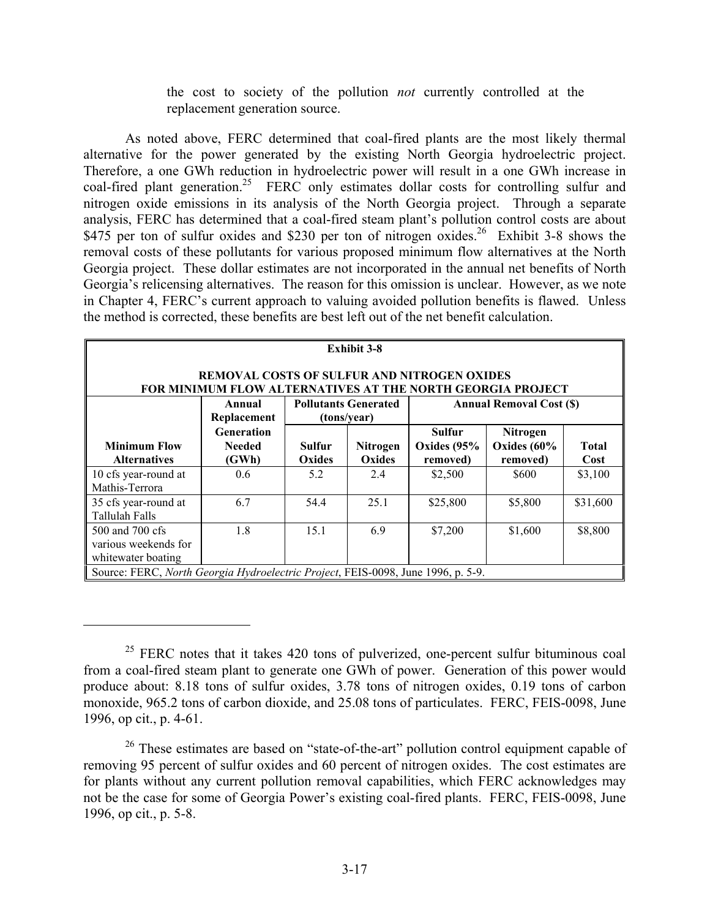the cost to society of the pollution *not* currently controlled at the replacement generation source.

As noted above, FERC determined that coal-fired plants are the most likely thermal alternative for the power generated by the existing North Georgia hydroelectric project. Therefore, a one GWh reduction in hydroelectric power will result in a one GWh increase in coal-fired plant generation.<sup>25</sup> FERC only estimates dollar costs for controlling sulfur and nitrogen oxide emissions in its analysis of the North Georgia project. Through a separate analysis, FERC has determined that a coal-fired steam plant's pollution control costs are about \$475 per ton of sulfur oxides and \$230 per ton of nitrogen oxides.<sup>26</sup> Exhibit 3-8 shows the removal costs of these pollutants for various proposed minimum flow alternatives at the North Georgia project. These dollar estimates are not incorporated in the annual net benefits of North Georgia's relicensing alternatives. The reason for this omission is unclear. However, as we note in Chapter 4, FERC's current approach to valuing avoided pollution benefits is flawed. Unless the method is corrected, these benefits are best left out of the net benefit calculation.

| <b>Exhibit 3-8</b><br><b>REMOVAL COSTS OF SULFUR AND NITROGEN OXIDES</b><br>FOR MINIMUM FLOW ALTERNATIVES AT THE NORTH GEORGIA PROJECT |                                             |                         |                                            |                                            |                                              |                      |
|----------------------------------------------------------------------------------------------------------------------------------------|---------------------------------------------|-------------------------|--------------------------------------------|--------------------------------------------|----------------------------------------------|----------------------|
|                                                                                                                                        | Annual<br>Replacement                       |                         | <b>Pollutants Generated</b><br>(tons/year) | <b>Annual Removal Cost (\$)</b>            |                                              |                      |
| <b>Minimum Flow</b><br><b>Alternatives</b>                                                                                             | <b>Generation</b><br><b>Needed</b><br>(GWh) | <b>Sulfur</b><br>Oxides | <b>Nitrogen</b><br>Oxides                  | <b>Sulfur</b><br>Oxides $(95%$<br>removed) | <b>Nitrogen</b><br>Oxides $(60%$<br>removed) | <b>Total</b><br>Cost |
| 10 cfs year-round at<br>Mathis-Terrora                                                                                                 | 0.6                                         | 5.2                     | 2.4                                        | \$2,500                                    | \$600                                        | \$3,100              |
| 35 cfs year-round at<br><b>Tallulah Falls</b>                                                                                          | 6.7                                         | 54.4                    | 25.1                                       | \$25,800                                   | \$5,800                                      | \$31,600             |
| 500 and 700 cfs<br>various weekends for<br>whitewater boating                                                                          | 1.8                                         | 15.1                    | 6.9                                        | \$7,200                                    | \$1,600                                      | \$8,800              |
| Source: FERC, North Georgia Hydroelectric Project, FEIS-0098, June 1996, p. 5-9.                                                       |                                             |                         |                                            |                                            |                                              |                      |

 $25$  FERC notes that it takes 420 tons of pulverized, one-percent sulfur bituminous coal from a coal-fired steam plant to generate one GWh of power. Generation of this power would produce about: 8.18 tons of sulfur oxides, 3.78 tons of nitrogen oxides, 0.19 tons of carbon monoxide, 965.2 tons of carbon dioxide, and 25.08 tons of particulates. FERC, FEIS-0098, June 1996, op cit., p. 4-61.

<sup>&</sup>lt;sup>26</sup> These estimates are based on "state-of-the-art" pollution control equipment capable of removing 95 percent of sulfur oxides and 60 percent of nitrogen oxides. The cost estimates are for plants without any current pollution removal capabilities, which FERC acknowledges may not be the case for some of Georgia Power's existing coal-fired plants. FERC, FEIS-0098, June 1996, op cit., p. 5-8.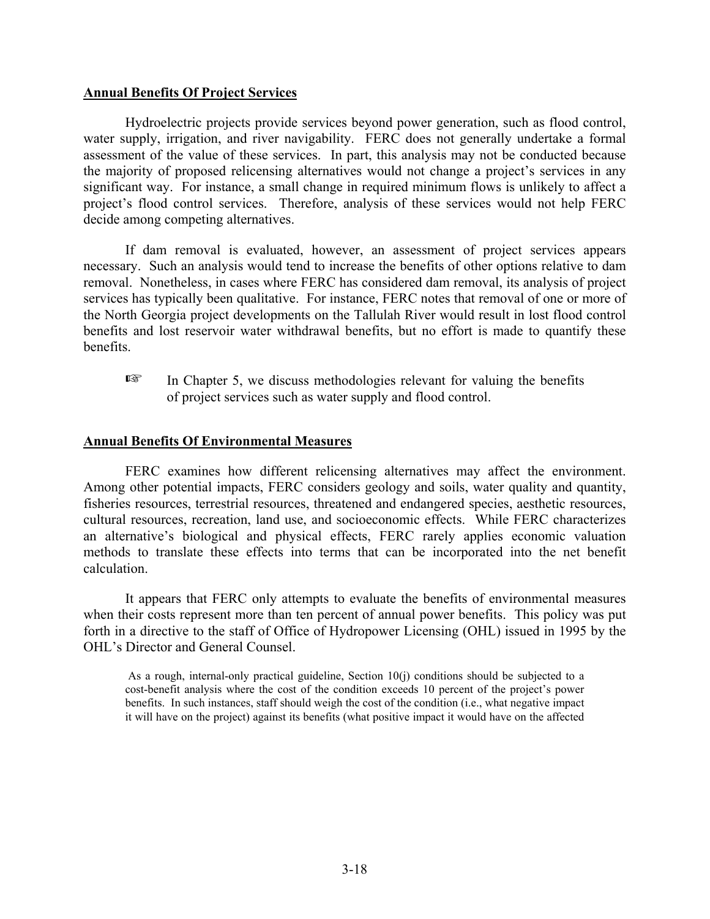#### **Annual Benefits Of Project Services**

Hydroelectric projects provide services beyond power generation, such as flood control, water supply, irrigation, and river navigability. FERC does not generally undertake a formal assessment of the value of these services. In part, this analysis may not be conducted because the majority of proposed relicensing alternatives would not change a project's services in any significant way. For instance, a small change in required minimum flows is unlikely to affect a project's flood control services. Therefore, analysis of these services would not help FERC decide among competing alternatives.

If dam removal is evaluated, however, an assessment of project services appears necessary. Such an analysis would tend to increase the benefits of other options relative to dam removal. Nonetheless, in cases where FERC has considered dam removal, its analysis of project services has typically been qualitative. For instance, FERC notes that removal of one or more of the North Georgia project developments on the Tallulah River would result in lost flood control benefits and lost reservoir water withdrawal benefits, but no effort is made to quantify these benefits.

 $E^*$  In Chapter 5, we discuss methodologies relevant for valuing the benefits of project services such as water supply and flood control.

#### **Annual Benefits Of Environmental Measures**

FERC examines how different relicensing alternatives may affect the environment. Among other potential impacts, FERC considers geology and soils, water quality and quantity, fisheries resources, terrestrial resources, threatened and endangered species, aesthetic resources, cultural resources, recreation, land use, and socioeconomic effects. While FERC characterizes an alternative's biological and physical effects, FERC rarely applies economic valuation methods to translate these effects into terms that can be incorporated into the net benefit calculation.

It appears that FERC only attempts to evaluate the benefits of environmental measures when their costs represent more than ten percent of annual power benefits. This policy was put forth in a directive to the staff of Office of Hydropower Licensing (OHL) issued in 1995 by the OHL's Director and General Counsel.

As a rough, internal-only practical guideline, Section 10(j) conditions should be subjected to a cost-benefit analysis where the cost of the condition exceeds 10 percent of the project's power benefits. In such instances, staff should weigh the cost of the condition (i.e., what negative impact it will have on the project) against its benefits (what positive impact it would have on the affected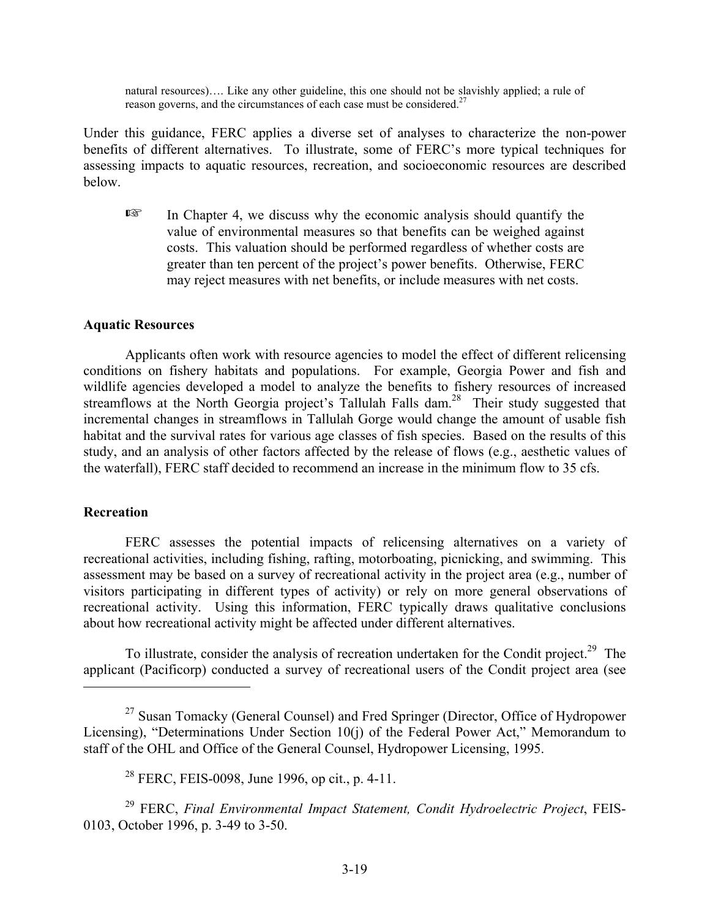natural resources)…. Like any other guideline, this one should not be slavishly applied; a rule of reason governs, and the circumstances of each case must be considered.<sup>27</sup>

Under this guidance, FERC applies a diverse set of analyses to characterize the non-power benefits of different alternatives. To illustrate, some of FERC's more typical techniques for assessing impacts to aquatic resources, recreation, and socioeconomic resources are described below.

 $\mathbb{E}$  In Chapter 4, we discuss why the economic analysis should quantify the value of environmental measures so that benefits can be weighed against costs. This valuation should be performed regardless of whether costs are greater than ten percent of the project's power benefits. Otherwise, FERC may reject measures with net benefits, or include measures with net costs.

### **Aquatic Resources**

Applicants often work with resource agencies to model the effect of different relicensing conditions on fishery habitats and populations. For example, Georgia Power and fish and wildlife agencies developed a model to analyze the benefits to fishery resources of increased streamflows at the North Georgia project's Tallulah Falls dam.<sup>28</sup> Their study suggested that incremental changes in streamflows in Tallulah Gorge would change the amount of usable fish habitat and the survival rates for various age classes of fish species. Based on the results of this study, and an analysis of other factors affected by the release of flows (e.g., aesthetic values of the waterfall), FERC staff decided to recommend an increase in the minimum flow to 35 cfs.

### **Recreation**

FERC assesses the potential impacts of relicensing alternatives on a variety of recreational activities, including fishing, rafting, motorboating, picnicking, and swimming. This assessment may be based on a survey of recreational activity in the project area (e.g., number of visitors participating in different types of activity) or rely on more general observations of recreational activity. Using this information, FERC typically draws qualitative conclusions about how recreational activity might be affected under different alternatives.

To illustrate, consider the analysis of recreation undertaken for the Condit project.<sup>29</sup> The applicant (Pacificorp) conducted a survey of recreational users of the Condit project area (see

29 FERC, *Final Environmental Impact Statement, Condit Hydroelectric Project*, FEIS-0103, October 1996, p. 3-49 to 3-50.

<sup>&</sup>lt;sup>27</sup> Susan Tomacky (General Counsel) and Fred Springer (Director, Office of Hydropower Licensing), "Determinations Under Section 10(j) of the Federal Power Act," Memorandum to staff of the OHL and Office of the General Counsel, Hydropower Licensing, 1995.

<sup>&</sup>lt;sup>28</sup> FERC, FEIS-0098, June 1996, op cit., p. 4-11.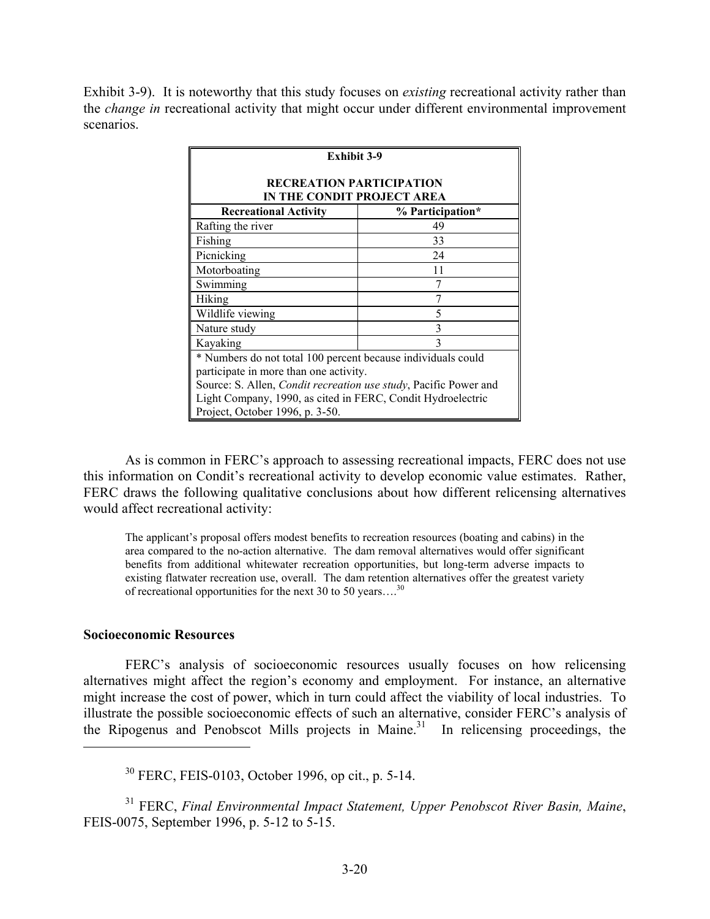Exhibit 3-9). It is noteworthy that this study focuses on *existing* recreational activity rather than the *change in* recreational activity that might occur under different environmental improvement scenarios.

| <b>Exhibit 3-9</b>                                                       |    |  |  |  |
|--------------------------------------------------------------------------|----|--|--|--|
| RECREATION PARTICIPATION<br>IN THE CONDIT PROJECT AREA                   |    |  |  |  |
| <b>Recreational Activity</b><br>% Participation*                         |    |  |  |  |
| Rafting the river                                                        | 49 |  |  |  |
| Fishing                                                                  | 33 |  |  |  |
| Picnicking                                                               | 24 |  |  |  |
| 11<br>Motorboating                                                       |    |  |  |  |
| 7<br>Swimming                                                            |    |  |  |  |
| 7<br>Hiking                                                              |    |  |  |  |
| Wildlife viewing<br>5                                                    |    |  |  |  |
| 3<br>Nature study                                                        |    |  |  |  |
| $\mathbf{3}$<br>Kayaking                                                 |    |  |  |  |
| * Numbers do not total 100 percent because individuals could             |    |  |  |  |
| participate in more than one activity.                                   |    |  |  |  |
| Source: S. Allen, <i>Condit recreation use study</i> , Pacific Power and |    |  |  |  |
| Light Company, 1990, as cited in FERC, Condit Hydroelectric              |    |  |  |  |
| Project, October 1996, p. 3-50.                                          |    |  |  |  |

As is common in FERC's approach to assessing recreational impacts, FERC does not use this information on Condit's recreational activity to develop economic value estimates. Rather, FERC draws the following qualitative conclusions about how different relicensing alternatives would affect recreational activity:

The applicant's proposal offers modest benefits to recreation resources (boating and cabins) in the area compared to the no-action alternative. The dam removal alternatives would offer significant benefits from additional whitewater recreation opportunities, but long-term adverse impacts to existing flatwater recreation use, overall. The dam retention alternatives offer the greatest variety of recreational opportunities for the next 30 to 50 years....<sup>30</sup>

#### **Socioeconomic Resources**

FERC's analysis of socioeconomic resources usually focuses on how relicensing alternatives might affect the region's economy and employment. For instance, an alternative might increase the cost of power, which in turn could affect the viability of local industries. To illustrate the possible socioeconomic effects of such an alternative, consider FERC's analysis of the Ripogenus and Penobscot Mills projects in Maine.<sup>31</sup> In relicensing proceedings, the

30 FERC, FEIS-0103, October 1996, op cit., p. 5-14.

31 FERC, *Final Environmental Impact Statement, Upper Penobscot River Basin, Maine*, FEIS-0075, September 1996, p. 5-12 to 5-15.